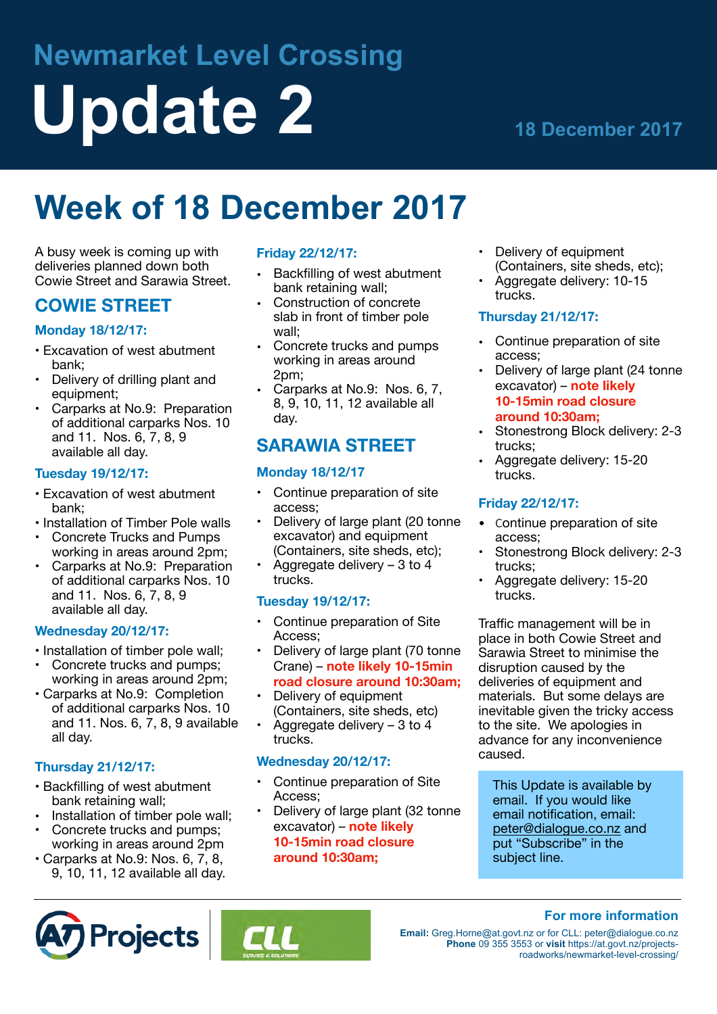# **Newmarket Level Crossing Update 2 18 December 2017**

## **Week of 18 December 2017**

A busy week is coming up with deliveries planned down both Cowie Street and Sarawia Street.

#### **COWIE STREET**

#### **Monday 18/12/17:**

- • Excavation of west abutment bank;
- Delivery of drilling plant and equipment;
- Carparks at No.9: Preparation of additional carparks Nos. 10 and 11. Nos. 6, 7, 8, 9 available all day.

#### **Tuesday 19/12/17:**

- • Excavation of west abutment bank;
- Installation of Timber Pole walls
- • Concrete Trucks and Pumps working in areas around 2pm;
- Carparks at No.9: Preparation of additional carparks Nos. 10 and 11. Nos. 6, 7, 8, 9 available all day.

#### **Wednesday 20/12/17:**

- • Installation of timber pole wall;
- Concrete trucks and pumps; working in areas around 2pm;
- • Carparks at No.9: Completion of additional carparks Nos. 10 and 11. Nos. 6, 7, 8, 9 available all day.

#### **Thursday 21/12/17:**

- • Backfilling of west abutment bank retaining wall;
- Installation of timber pole wall;
- Concrete trucks and pumps: working in areas around 2pm
- • Carparks at No.9: Nos. 6, 7, 8, 9, 10, 11, 12 available all day.

#### **Friday 22/12/17:**

- Backfilling of west abutment bank retaining wall;
- Construction of concrete slab in front of timber pole wall;
- Concrete trucks and pumps working in areas around 2pm;
- Carparks at No.9: Nos. 6, 7, 8, 9, 10, 11, 12 available all day.

### **SARAWIA STREET**

#### **Monday 18/12/17**

- Continue preparation of site access;
- Delivery of large plant (20 tonne excavator) and equipment (Containers, site sheds, etc);
- Aggregate delivery 3 to 4 trucks.

#### **Tuesday 19/12/17:**

- Continue preparation of Site Access;
- Delivery of large plant (70 tonne Crane) – **note likely 10-15min road closure around 10:30am;**
- Delivery of equipment (Containers, site sheds, etc)
- Aggregate delivery  $-3$  to 4 trucks.

#### **Wednesday 20/12/17:**

- Continue preparation of Site Access;
- Delivery of large plant (32 tonne excavator) – **note likely 10-15min road closure around 10:30am;**
- Delivery of equipment (Containers, site sheds, etc);
- Aggregate delivery: 10-15 trucks.

#### **Thursday 21/12/17:**

- Continue preparation of site access;
- Delivery of large plant (24 tonne excavator) – **note likely 10-15min road closure around 10:30am;**
- Stonestrong Block delivery: 2-3 trucks;
- Aggregate delivery: 15-20 trucks.

#### **Friday 22/12/17:**

- Continue preparation of site access;
- Stonestrong Block delivery: 2-3 trucks;
- Aggregate delivery: 15-20 trucks.

Traffic management will be in place in both Cowie Street and Sarawia Street to minimise the disruption caused by the deliveries of equipment and materials. But some delays are inevitable given the tricky access to the site. We apologies in advance for any inconvenience caused.

This Update is available by email. If you would like email notification, email: [peter@dialogue.co.nz](mailto:peter@dialogue.co.nz) and put "Subscribe" in the subject line.

**For more information** 





**Email:** [Greg.Horne@at.govt.nz](mailto:greg.Horne@at.govt.nz) or for CLL: peter@dialogue.co.nz **Phone** 09 355 3553 or **visit** https://at.govt.nz/projectsroadworks/newmarket-level-crossing/